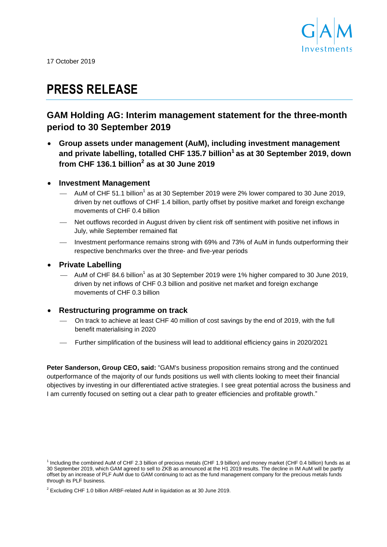<span id="page-0-0"></span>

17 October 2019

# **PRESS RELEASE**

# **GAM Holding AG: Interim management statement for the three-month period to 30 September 2019**

- **Group assets under management (AuM), including investment management and private labelling, totalled CHF 135.7 billion<sup>1</sup> as at 30 September 2019, down from CHF 136.1 billion<sup>2</sup> as at 30 June 2019**
- <span id="page-0-1"></span> **Investment Management**
	- $-$  AuM of CHF 5[1](#page-0-0).1 billion<sup>1</sup> as at 30 September 2019 were 2% lower compared to 30 June 2019, driven by net outflows of CHF 1.4 billion, partly offset by positive market and foreign exchange movements of CHF 0.4 billion
	- Net outflows recorded in August driven by client risk off sentiment with positive net inflows in July, while September remained flat
	- Investment performance remains strong with 69% and 73% of AuM in funds outperforming their respective benchmarks over the three- and five-year periods

# **Private Labelling**

 $-$  AuM of CHF 84.6 billion<sup>[1](#page-0-0)</sup> as at 30 September 2019 were 1% higher compared to 30 June 2019, driven by net inflows of CHF 0.3 billion and positive net market and foreign exchange movements of CHF 0.3 billion

# **Restructuring programme on track**

- On track to achieve at least CHF 40 million of cost savings by the end of 2019, with the full benefit materialising in 2020
- Further simplification of the business will lead to additional efficiency gains in 2020/2021

**Peter Sanderson, Group CEO, said:** "GAM's business proposition remains strong and the continued outperformance of the majority of our funds positions us well with clients looking to meet their financial objectives by investing in our differentiated active strategies. I see great potential across the business and I am currently focused on setting out a clear path to greater efficiencies and profitable growth."

<sup>&</sup>lt;sup>1</sup> Including the combined AuM of CHF 2.3 billion of precious metals (CHF 1.9 billion) and money market (CHF 0.4 billion) funds as at 30 September 2019, which GAM agreed to sell to ZKB as announced at the H1 2019 results. The decline in IM AuM will be partly offset by an increase of PLF AuM due to GAM continuing to act as the fund management company for the precious metals funds through its PLF business.

 $2$  Excluding CHF 1.0 billion ARBF-related AuM in liquidation as at 30 June 2019.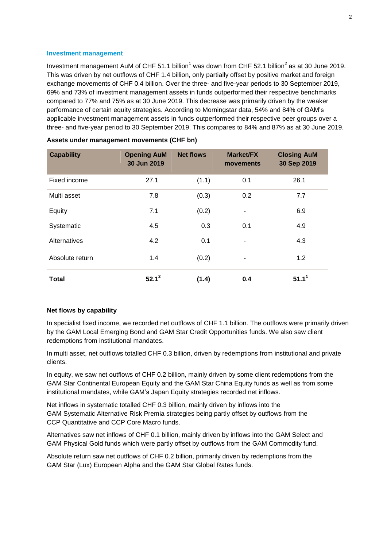#### **Investment management**

I[n](#page-0-0)vestment management AuM of CHF 51.1 billion<sup>1</sup> was down from CHF 5[2](#page-0-1).1 billion<sup>2</sup> as at 30 June 2019. This was driven by net outflows of CHF 1.4 billion, only partially offset by positive market and foreign exchange movements of CHF 0.4 billion. Over the three- and five-year periods to 30 September 2019, 69% and 73% of investment management assets in funds outperformed their respective benchmarks compared to 77% and 75% as at 30 June 2019. This decrease was primarily driven by the weaker performance of certain equity strategies. According to Morningstar data, 54% and 84% of GAM's applicable investment management assets in funds outperformed their respective peer groups over a three- and five-year period to 30 September 2019. This compares to 84% and 87% as at 30 June 2019.

| <b>Capability</b> | <b>Opening AuM</b><br>30 Jun 2019 | <b>Net flows</b> | <b>Market/FX</b><br>movements | <b>Closing AuM</b><br>30 Sep 2019 |
|-------------------|-----------------------------------|------------------|-------------------------------|-----------------------------------|
| Fixed income      | 27.1                              | (1.1)            | 0.1                           | 26.1                              |
| Multi asset       | 7.8                               | (0.3)            | 0.2                           | 7.7                               |
| Equity            | 7.1                               | (0.2)            | $\qquad \qquad \blacksquare$  | 6.9                               |
| Systematic        | 4.5                               | 0.3              | 0.1                           | 4.9                               |
| Alternatives      | 4.2                               | 0.1              | $\qquad \qquad \blacksquare$  | 4.3                               |
| Absolute return   | 1.4                               | (0.2)            | -                             | 1.2                               |
| <b>Total</b>      | $52.1^2$                          | (1.4)            | 0.4                           | 51.1 <sup>1</sup>                 |

| Assets under management movements (CHF bn) |  |  |
|--------------------------------------------|--|--|
|                                            |  |  |

#### **Net flows by capability**

In specialist fixed income, we recorded net outflows of CHF 1.1 billion. The outflows were primarily driven by the GAM Local Emerging Bond and GAM Star Credit Opportunities funds. We also saw client redemptions from institutional mandates.

In multi asset, net outflows totalled CHF 0.3 billion, driven by redemptions from institutional and private clients.

In equity, we saw net outflows of CHF 0.2 billion, mainly driven by some client redemptions from the GAM Star Continental European Equity and the GAM Star China Equity funds as well as from some institutional mandates, while GAM's Japan Equity strategies recorded net inflows.

Net inflows in systematic totalled CHF 0.3 billion, mainly driven by inflows into the GAM Systematic Alternative Risk Premia strategies being partly offset by outflows from the CCP Quantitative and CCP Core Macro funds.

Alternatives saw net inflows of CHF 0.1 billion, mainly driven by inflows into the GAM Select and GAM Physical Gold funds which were partly offset by outflows from the GAM Commodity fund.

Absolute return saw net outflows of CHF 0.2 billion, primarily driven by redemptions from the GAM Star (Lux) European Alpha and the GAM Star Global Rates funds.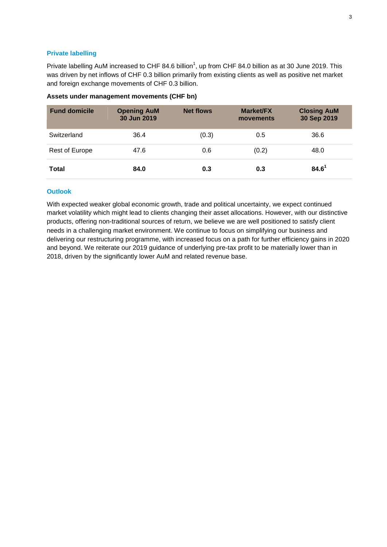# **Private labelling**

Private labelling AuM increased to CHF 84.6 billion<sup>1</sup>[,](#page-0-0) up from CHF 84.0 billion as at 30 June 2019. This was driven by net inflows of CHF 0.3 billion primarily from existing clients as well as positive net market and foreign exchange movements of CHF 0.3 billion.

# **Assets under management movements (CHF bn)**

| <b>Fund domicile</b> | <b>Opening AuM</b><br>30 Jun 2019 | <b>Net flows</b> | <b>Market/FX</b><br>movements | <b>Closing AuM</b><br>30 Sep 2019 |
|----------------------|-----------------------------------|------------------|-------------------------------|-----------------------------------|
| Switzerland          | 36.4                              | (0.3)            | 0.5                           | 36.6                              |
| Rest of Europe       | 47.6                              | 0.6              | (0.2)                         | 48.0                              |
| <b>Total</b>         | 84.0                              | 0.3              | 0.3                           | $84.6^1$                          |

### **Outlook**

With expected weaker global economic growth, trade and political uncertainty, we expect continued market volatility which might lead to clients changing their asset allocations. However, with our distinctive products, offering non-traditional sources of return, we believe we are well positioned to satisfy client needs in a challenging market environment. We continue to focus on simplifying our business and delivering our restructuring programme, with increased focus on a path for further efficiency gains in 2020 and beyond. We reiterate our 2019 guidance of underlying pre-tax profit to be materially lower than in 2018, driven by the significantly lower AuM and related revenue base.